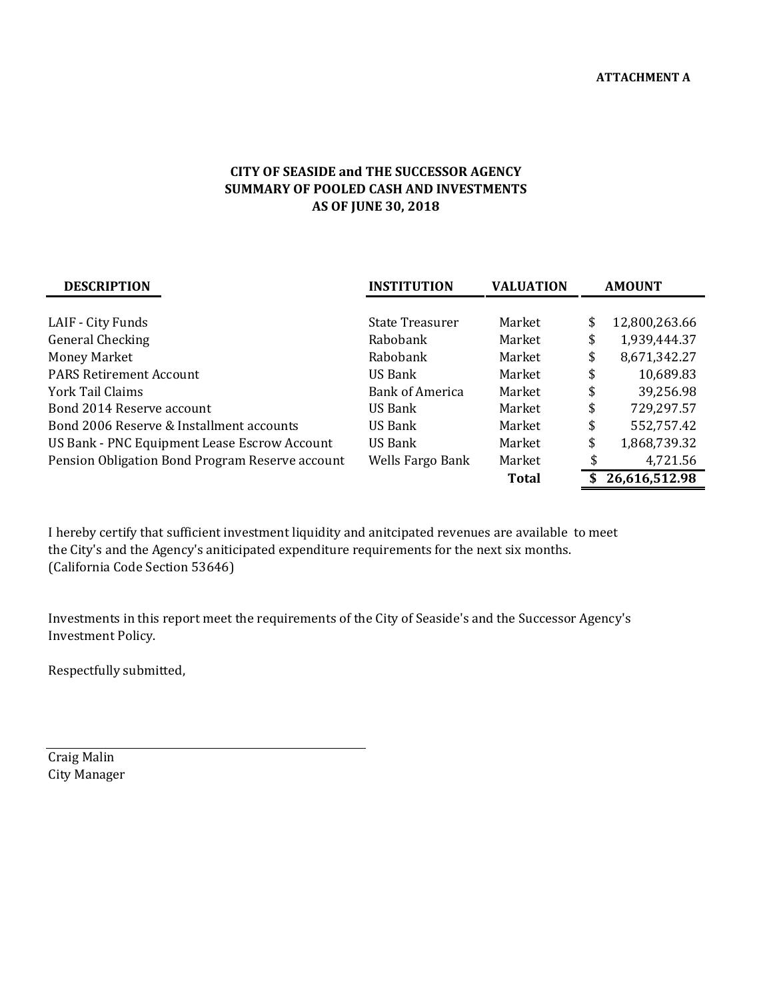## **CITY OF SEASIDE and THE SUCCESSOR AGENCY SUMMARY OF POOLED CASH AND INVESTMENTS AS OF JUNE 30, 2018**

| <b>DESCRIPTION</b>                              | <b>INSTITUTION</b>     | <b>VALUATION</b> | <b>AMOUNT</b>       |  |  |
|-------------------------------------------------|------------------------|------------------|---------------------|--|--|
|                                                 |                        |                  |                     |  |  |
| LAIF - City Funds                               | <b>State Treasurer</b> | Market           | \$<br>12,800,263.66 |  |  |
| General Checking                                | Rabobank               | Market           | \$<br>1,939,444.37  |  |  |
| <b>Money Market</b>                             | Rabobank               | Market           | \$<br>8,671,342.27  |  |  |
| <b>PARS Retirement Account</b>                  | US Bank                | Market           | \$<br>10,689.83     |  |  |
| York Tail Claims                                | <b>Bank of America</b> | Market           | \$<br>39,256.98     |  |  |
| Bond 2014 Reserve account                       | US Bank                | Market           | \$<br>729,297.57    |  |  |
| Bond 2006 Reserve & Installment accounts        | US Bank                | Market           | \$<br>552,757.42    |  |  |
| US Bank - PNC Equipment Lease Escrow Account    | US Bank                | Market           | \$<br>1,868,739.32  |  |  |
| Pension Obligation Bond Program Reserve account | Wells Fargo Bank       | Market           | \$<br>4,721.56      |  |  |
|                                                 |                        | <b>Total</b>     | 26,616,512.98       |  |  |

I hereby certify that sufficient investment liquidity and anitcipated revenues are available to meet the City's and the Agency's aniticipated expenditure requirements for the next six months. (California Code Section 53646)

Investments in this report meet the requirements of the City of Seaside's and the Successor Agency's Investment Policy.

Respectfully submitted,

Craig Malin City Manager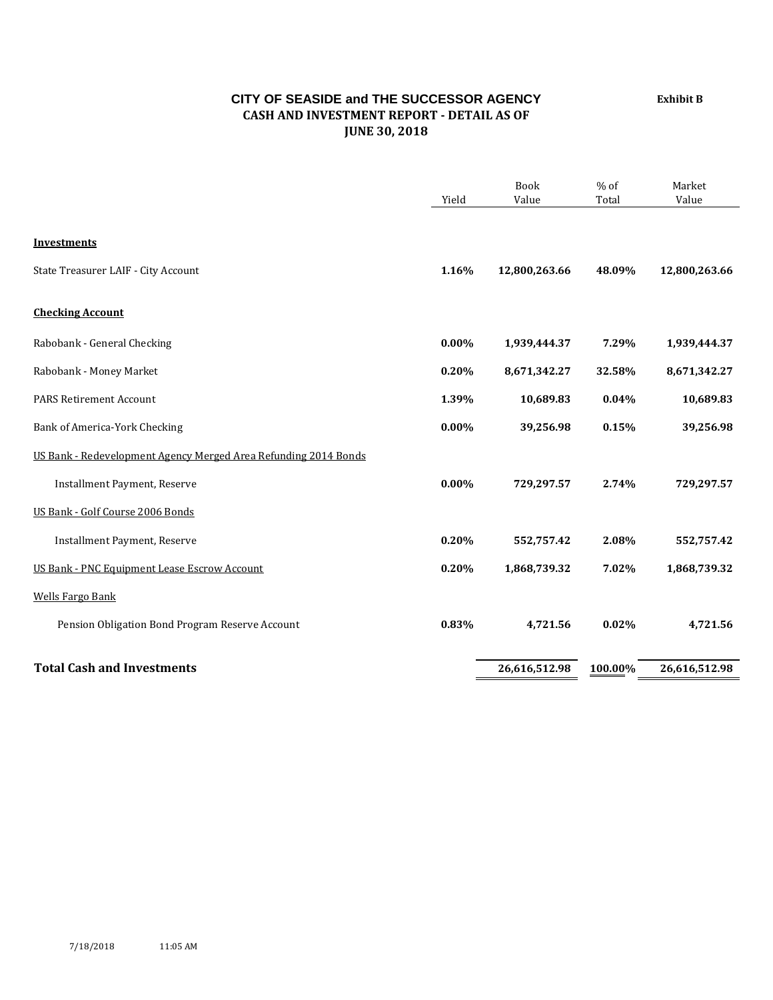## **CITY OF SEASIDE and THE SUCCESSOR AGENCY CASH AND INVESTMENT REPORT - DETAIL AS OF JUNE 30, 2018**

Book % of Market Yield Value Total Value **Investments** State Treasurer LAIF - City Account **1.16% 12,800,263.66 48.09% 12,800,263.66 Checking Account** Rabobank - General Checking **0.00% 1,939,444.37 7.29% 1,939,444.37** Rabobank - Money Market **0.20% 8,671,342.27 32.58% 8,671,342.27** PARS Retirement Account **1.39% 10,689.83 0.04% 10,689.83** Bank of America-York Checking **0.00% 39,256.98 0.15% 39,256.98** US Bank - Redevelopment Agency Merged Area Refunding 2014 Bonds Installment Payment, Reserve **0.00% 729,297.57 2.74% 729,297.57** US Bank - Golf Course 2006 Bonds Installment Payment, Reserve **0.20% 552,757.42 2.08% 552,757.42** US Bank - PNC Equipment Lease Escrow Account **0.20% 1,868,739.32 7.02% 1,868,739.32** Wells Fargo Bank Pension Obligation Bond Program Reserve Account **0.83% 4,721.56 0.02% 4,721.56 Total Cash and Investments 26,616,512.98 100.00% 26,616,512.98**